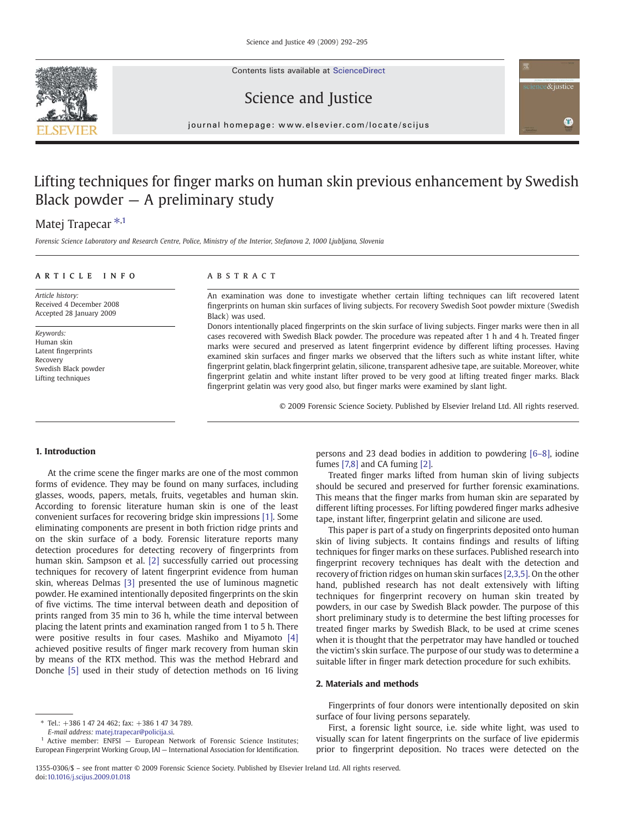Contents lists available at ScienceDirect





## Science and Justice

journal homepage: www.elsevier.com/locate/scijus

# Lifting techniques for finger marks on human skin previous enhancement by Swedish Black powder  $-$  A preliminary study

## Matej Trapecar<sup>\*,1</sup>

Forensic Science Laboratory and Research Centre, Police, Ministry of the Interior, Stefanova 2, 1000 Ljubljana, Slovenia

## ARTICLE INFO ABSTRACT

Article history: Received 4 December 2008 Accepted 28 January 2009

Keywords: Human skin Latent fingerprints Recovery Swedish Black powder Lifting techniques

An examination was done to investigate whether certain lifting techniques can lift recovered latent fingerprints on human skin surfaces of living subjects. For recovery Swedish Soot powder mixture (Swedish Black) was used.

Donors intentionally placed fingerprints on the skin surface of living subjects. Finger marks were then in all cases recovered with Swedish Black powder. The procedure was repeated after 1 h and 4 h. Treated finger marks were secured and preserved as latent fingerprint evidence by different lifting processes. Having examined skin surfaces and finger marks we observed that the lifters such as white instant lifter, white fingerprint gelatin, black fingerprint gelatin, silicone, transparent adhesive tape, are suitable. Moreover, white fingerprint gelatin and white instant lifter proved to be very good at lifting treated finger marks. Black fingerprint gelatin was very good also, but finger marks were examined by slant light.

© 2009 Forensic Science Society. Published by Elsevier Ireland Ltd. All rights reserved.

#### 1. Introduction

At the crime scene the finger marks are one of the most common forms of evidence. They may be found on many surfaces, including glasses, woods, papers, metals, fruits, vegetables and human skin. According to forensic literature human skin is one of the least convenient surfaces for recovering bridge skin impressions [\[1\].](#page-3-0) Some eliminating components are present in both friction ridge prints and on the skin surface of a body. Forensic literature reports many detection procedures for detecting recovery of fingerprints from human skin. Sampson et al. [\[2\]](#page-3-0) successfully carried out processing techniques for recovery of latent fingerprint evidence from human skin, whereas Delmas [\[3\]](#page-3-0) presented the use of luminous magnetic powder. He examined intentionally deposited fingerprints on the skin of five victims. The time interval between death and deposition of prints ranged from 35 min to 36 h, while the time interval between placing the latent prints and examination ranged from 1 to 5 h. There were positive results in four cases. Mashiko and Miyamoto [\[4\]](#page-3-0) achieved positive results of finger mark recovery from human skin by means of the RTX method. This was the method Hebrard and Donche [\[5\]](#page-3-0) used in their study of detection methods on 16 living

fumes [\[7,8\]](#page-3-0) and CA fuming [\[2\]](#page-3-0). Treated finger marks lifted from human skin of living subjects

persons and 23 dead bodies in addition to powdering [6–[8\]](#page-3-0), iodine

should be secured and preserved for further forensic examinations. This means that the finger marks from human skin are separated by different lifting processes. For lifting powdered finger marks adhesive tape, instant lifter, fingerprint gelatin and silicone are used.

This paper is part of a study on fingerprints deposited onto human skin of living subjects. It contains findings and results of lifting techniques for finger marks on these surfaces. Published research into fingerprint recovery techniques has dealt with the detection and recovery of friction ridges on human skin surfaces [\[2,3,5\]](#page-3-0). On the other hand, published research has not dealt extensively with lifting techniques for fingerprint recovery on human skin treated by powders, in our case by Swedish Black powder. The purpose of this short preliminary study is to determine the best lifting processes for treated finger marks by Swedish Black, to be used at crime scenes when it is thought that the perpetrator may have handled or touched the victim's skin surface. The purpose of our study was to determine a suitable lifter in finger mark detection procedure for such exhibits.

## 2. Materials and methods

Fingerprints of four donors were intentionally deposited on skin surface of four living persons separately.

First, a forensic light source, i.e. side white light, was used to visually scan for latent fingerprints on the surface of live epidermis prior to fingerprint deposition. No traces were detected on the

<sup>⁎</sup> Tel.: +386 1 47 24 462; fax: +386 1 47 34 789.

E-mail address: [matej.trapecar@policija.si](mailto:matej.trapecar@policija.si).

<sup>&</sup>lt;sup>1</sup> Active member: ENFSI - European Network of Forensic Science Institutes; European Fingerprint Working Group, IAI — International Association for Identification.

<sup>1355-0306/\$</sup> – see front matter © 2009 Forensic Science Society. Published by Elsevier Ireland Ltd. All rights reserved. doi[:10.1016/j.scijus.2009.01.018](http://dx.doi.org/10.1016/j.scijus.2009.01.018)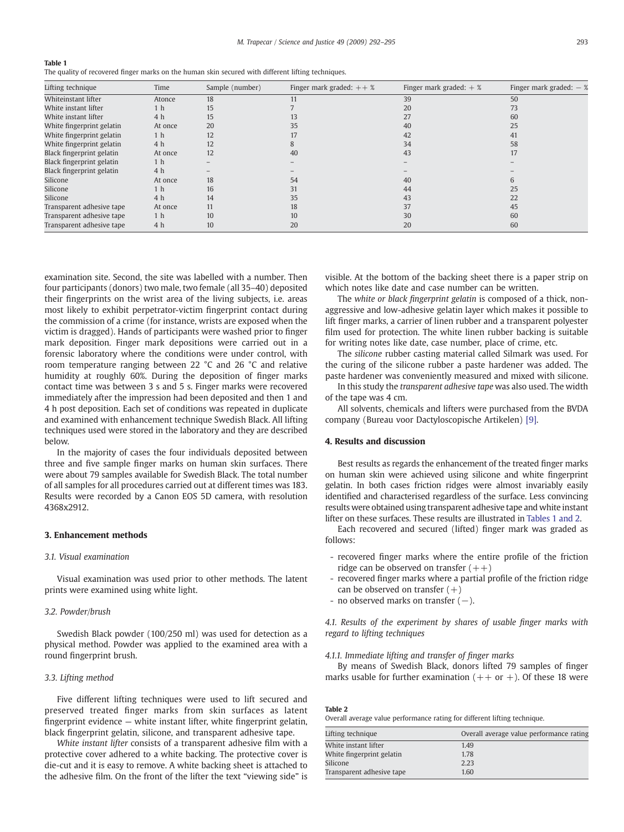<span id="page-1-0"></span>

The quality of recovered finger marks on the human skin secured with different lifting techniques.

| Lifting technique         | Time           | Sample (number) | Finger mark graded: $++$ % | Finger mark graded: $+$ % | Finger mark graded: $-$ % |
|---------------------------|----------------|-----------------|----------------------------|---------------------------|---------------------------|
| Whiteinstant lifter       | Atonce         | 18              |                            | 39                        | 50                        |
| White instant lifter      | 1 <sub>h</sub> | 15              |                            | 20                        | 73                        |
| White instant lifter      | 4 <sub>h</sub> | 15              | 13                         | 27                        | 60                        |
| White fingerprint gelatin | At once        | 20              | 35                         | 40                        | 25                        |
| White fingerprint gelatin | 1 <sub>h</sub> | 12              | 17                         | 42                        | 41                        |
| White fingerprint gelatin | 4 <sub>h</sub> | 12              |                            | 34                        | 58                        |
| Black fingerprint gelatin | At once        | 12              | 40                         | 43                        | 17                        |
| Black fingerprint gelatin | 1 <sub>h</sub> |                 |                            |                           |                           |
| Black fingerprint gelatin | 4 <sub>h</sub> |                 |                            |                           |                           |
| Silicone                  | At once        | 18              | 54                         | 40                        |                           |
| Silicone                  | 1 h            | 16              | 31                         | 44                        | 25                        |
| Silicone                  | 4 <sub>h</sub> | 14              | 35                         | 43                        | 22                        |
| Transparent adhesive tape | At once        | 11              | 18                         | 37                        | 45                        |
| Transparent adhesive tape | 1 <sub>h</sub> | 10              | 10                         | 30                        | 60                        |
| Transparent adhesive tape | 4 h            | 10              | 20                         | 20                        | 60                        |

examination site. Second, the site was labelled with a number. Then four participants (donors) two male, two female (all 35–40) deposited their fingerprints on the wrist area of the living subjects, i.e. areas most likely to exhibit perpetrator-victim fingerprint contact during the commission of a crime (for instance, wrists are exposed when the victim is dragged). Hands of participants were washed prior to finger mark deposition. Finger mark depositions were carried out in a forensic laboratory where the conditions were under control, with room temperature ranging between 22 °C and 26 °C and relative humidity at roughly 60%. During the deposition of finger marks contact time was between 3 s and 5 s. Finger marks were recovered immediately after the impression had been deposited and then 1 and 4 h post deposition. Each set of conditions was repeated in duplicate and examined with enhancement technique Swedish Black. All lifting techniques used were stored in the laboratory and they are described below.

In the majority of cases the four individuals deposited between three and five sample finger marks on human skin surfaces. There were about 79 samples available for Swedish Black. The total number of all samples for all procedures carried out at different times was 183. Results were recorded by a Canon EOS 5D camera, with resolution 4368x2912.

## 3. Enhancement methods

### 3.1. Visual examination

Visual examination was used prior to other methods. The latent prints were examined using white light.

## 3.2. Powder/brush

Swedish Black powder (100/250 ml) was used for detection as a physical method. Powder was applied to the examined area with a round fingerprint brush.

## 3.3. Lifting method

Five different lifting techniques were used to lift secured and preserved treated finger marks from skin surfaces as latent fingerprint evidence — white instant lifter, white fingerprint gelatin, black fingerprint gelatin, silicone, and transparent adhesive tape.

White instant lifter consists of a transparent adhesive film with a protective cover adhered to a white backing. The protective cover is die-cut and it is easy to remove. A white backing sheet is attached to the adhesive film. On the front of the lifter the text "viewing side" is

visible. At the bottom of the backing sheet there is a paper strip on which notes like date and case number can be written.

The white or black fingerprint gelatin is composed of a thick, nonaggressive and low-adhesive gelatin layer which makes it possible to lift finger marks, a carrier of linen rubber and a transparent polyester film used for protection. The white linen rubber backing is suitable for writing notes like date, case number, place of crime, etc.

The silicone rubber casting material called Silmark was used. For the curing of the silicone rubber a paste hardener was added. The paste hardener was conveniently measured and mixed with silicone.

In this study the transparent adhesive tape was also used. The width of the tape was 4 cm.

All solvents, chemicals and lifters were purchased from the BVDA company (Bureau voor Dactyloscopische Artikelen) [\[9\]](#page-3-0).

## 4. Results and discussion

Best results as regards the enhancement of the treated finger marks on human skin were achieved using silicone and white fingerprint gelatin. In both cases friction ridges were almost invariably easily identified and characterised regardless of the surface. Less convincing results were obtained using transparent adhesive tape and white instant lifter on these surfaces. These results are illustrated in Tables 1 and 2.

Each recovered and secured (lifted) finger mark was graded as follows:

- recovered finger marks where the entire profile of the friction ridge can be observed on transfer  $(++)$
- recovered finger marks where a partial profile of the friction ridge can be observed on transfer  $(+)$
- no observed marks on transfer (−).

4.1. Results of the experiment by shares of usable finger marks with regard to lifting techniques

## 4.1.1. Immediate lifting and transfer of finger marks

By means of Swedish Black, donors lifted 79 samples of finger marks usable for further examination  $(++)$  or  $+)$ . Of these 18 were

Table 2

Overall average value performance rating for different lifting technique.

| Lifting technique         | Overall average value performance rating |
|---------------------------|------------------------------------------|
| White instant lifter      | 1.49                                     |
| White fingerprint gelatin | 1.78                                     |
| Silicone                  | 2.23                                     |
| Transparent adhesive tape | 1.60                                     |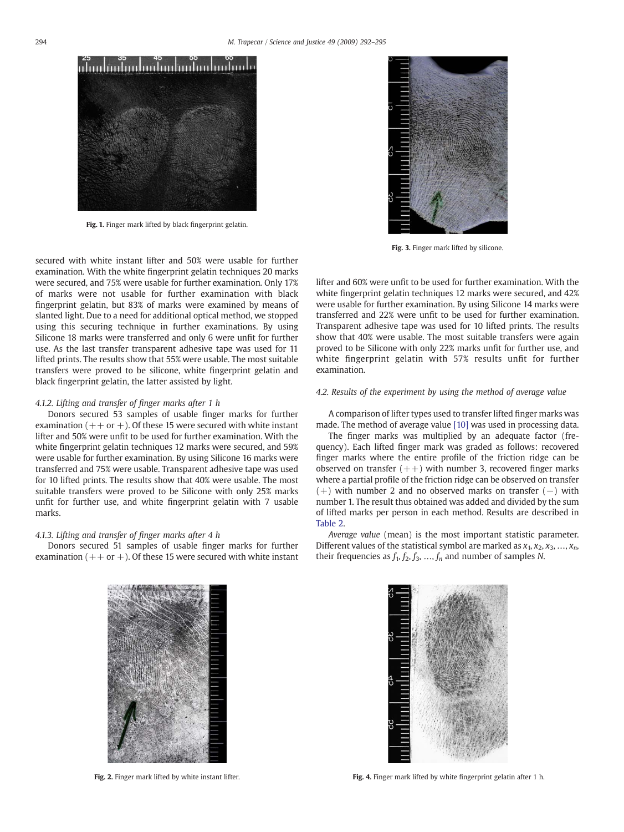<span id="page-2-0"></span>

Fig. 1. Finger mark lifted by black fingerprint gelatin.

secured with white instant lifter and 50% were usable for further examination. With the white fingerprint gelatin techniques 20 marks were secured, and 75% were usable for further examination. Only 17% of marks were not usable for further examination with black fingerprint gelatin, but 83% of marks were examined by means of slanted light. Due to a need for additional optical method, we stopped using this securing technique in further examinations. By using Silicone 18 marks were transferred and only 6 were unfit for further use. As the last transfer transparent adhesive tape was used for 11 lifted prints. The results show that 55% were usable. The most suitable transfers were proved to be silicone, white fingerprint gelatin and black fingerprint gelatin, the latter assisted by light.

## 4.1.2. Lifting and transfer of finger marks after 1 h

Donors secured 53 samples of usable finger marks for further examination  $(++)$  or  $+)$ . Of these 15 were secured with white instant lifter and 50% were unfit to be used for further examination. With the white fingerprint gelatin techniques 12 marks were secured, and 59% were usable for further examination. By using Silicone 16 marks were transferred and 75% were usable. Transparent adhesive tape was used for 10 lifted prints. The results show that 40% were usable. The most suitable transfers were proved to be Silicone with only 25% marks unfit for further use, and white fingerprint gelatin with 7 usable marks.

## 4.1.3. Lifting and transfer of finger marks after 4 h

Donors secured 51 samples of usable finger marks for further examination  $(++)$  or  $+)$ . Of these 15 were secured with white instant



Fig. 3. Finger mark lifted by silicone.

lifter and 60% were unfit to be used for further examination. With the white fingerprint gelatin techniques 12 marks were secured, and 42% were usable for further examination. By using Silicone 14 marks were transferred and 22% were unfit to be used for further examination. Transparent adhesive tape was used for 10 lifted prints. The results show that 40% were usable. The most suitable transfers were again proved to be Silicone with only 22% marks unfit for further use, and white fingerprint gelatin with 57% results unfit for further examination.

## 4.2. Results of the experiment by using the method of average value

A comparison of lifter types used to transfer lifted finger marks was made. The method of average value [\[10\]](#page-3-0) was used in processing data.

The finger marks was multiplied by an adequate factor (frequency). Each lifted finger mark was graded as follows: recovered finger marks where the entire profile of the friction ridge can be observed on transfer  $(++)$  with number 3, recovered finger marks where a partial profile of the friction ridge can be observed on transfer (+) with number 2 and no observed marks on transfer (−) with number 1. The result thus obtained was added and divided by the sum of lifted marks per person in each method. Results are described in [Table 2.](#page-1-0)

Average value (mean) is the most important statistic parameter. Different values of the statistical symbol are marked as  $x_1, x_2, x_3, ..., x_n$ , their frequencies as  $f_1$ ,  $f_2$ ,  $f_3$ , ...,  $f_n$  and number of samples N.



Fig. 2. Finger mark lifted by white instant lifter.



Fig. 4. Finger mark lifted by white fingerprint gelatin after 1 h.